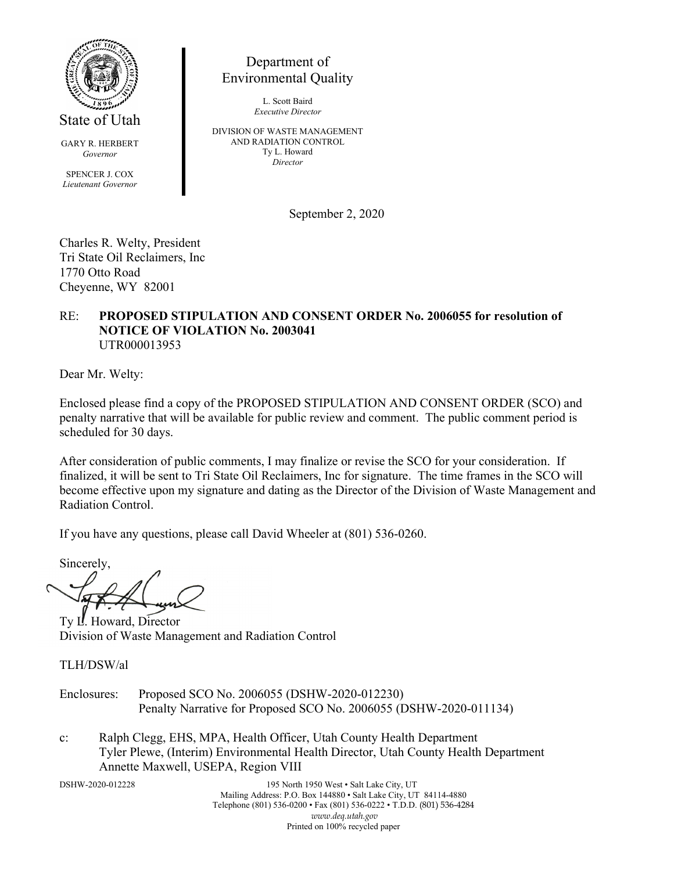

State of Utah

GARY R. HERBERT *Governor*

SPENCER J. COX *Lieutenant Governor*

Department of Environmental Quality

> L. Scott Baird *Executive Director*

DIVISION OF WASTE MANAGEMENT AND RADIATION CONTROL Ty L. Howard *Director*

September 2, 2020

Charles R. Welty, President Tri State Oil Reclaimers, Inc 1770 Otto Road Cheyenne, WY 82001

#### RE: **PROPOSED STIPULATION AND CONSENT ORDER No. 2006055 for resolution of NOTICE OF VIOLATION No. 2003041** UTR000013953

Dear Mr. Welty:

Enclosed please find a copy of the PROPOSED STIPULATION AND CONSENT ORDER (SCO) and penalty narrative that will be available for public review and comment. The public comment period is scheduled for 30 days.

After consideration of public comments, I may finalize or revise the SCO for your consideration. If finalized, it will be sent to Tri State Oil Reclaimers, Inc for signature. The time frames in the SCO will become effective upon my signature and dating as the Director of the Division of Waste Management and Radiation Control.

If you have any questions, please call David Wheeler at (801) 536-0260.

Sincerely,

Ty L. Howard, Director Division of Waste Management and Radiation Control

TLH/DSW/al

- Enclosures: Proposed SCO No. 2006055 (DSHW-2020-012230) Penalty Narrative for Proposed SCO No. 2006055 (DSHW-2020-011134)
- c: Ralph Clegg, EHS, MPA, Health Officer, Utah County Health Department Tyler Plewe, (Interim) Environmental Health Director, Utah County Health Department Annette Maxwell, USEPA, Region VIII

DSHW-2020-012228 195 North 1950 West • Salt Lake City, UT Mailing Address: P.O. Box 144880 • Salt Lake City, UT 84114-4880 Telephone (801) 536-0200 • Fax (801) 536-0222 • T.D.D. (801) 536-4284 *www.deq.utah.gov* Printed on 100% recycled paper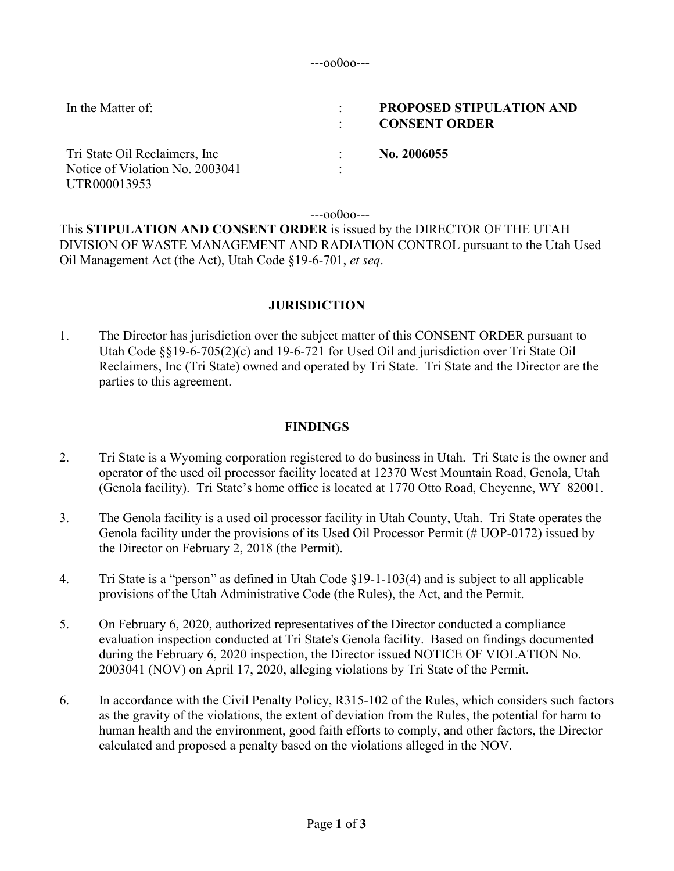---oo0oo---

| In the Matter of:               | <b>PROPOSED STIPULATION AND</b><br><b>CONSENT ORDER</b> |
|---------------------------------|---------------------------------------------------------|
| Tri State Oil Reclaimers, Inc   | No. 2006055                                             |
| Notice of Violation No. 2003041 |                                                         |
| UTR000013953                    |                                                         |

---oo0oo---

This **STIPULATION AND CONSENT ORDER** is issued by the DIRECTOR OF THE UTAH DIVISION OF WASTE MANAGEMENT AND RADIATION CONTROL pursuant to the Utah Used Oil Management Act (the Act), Utah Code §19-6-701, *et seq*.

# **JURISDICTION**

1. The Director has jurisdiction over the subject matter of this CONSENT ORDER pursuant to Utah Code  $\S$ §19-6-705(2)(c) and 19-6-721 for Used Oil and jurisdiction over Tri State Oil Reclaimers, Inc (Tri State) owned and operated by Tri State. Tri State and the Director are the parties to this agreement.

# **FINDINGS**

- 2. Tri State is a Wyoming corporation registered to do business in Utah. Tri State is the owner and operator of the used oil processor facility located at 12370 West Mountain Road, Genola, Utah (Genola facility). Tri State's home office is located at 1770 Otto Road, Cheyenne, WY 82001.
- 3. The Genola facility is a used oil processor facility in Utah County, Utah. Tri State operates the Genola facility under the provisions of its Used Oil Processor Permit (# UOP-0172) issued by the Director on February 2, 2018 (the Permit).
- 4. Tri State is a "person" as defined in Utah Code §19-1-103(4) and is subject to all applicable provisions of the Utah Administrative Code (the Rules), the Act, and the Permit.
- 5. On February 6, 2020, authorized representatives of the Director conducted a compliance evaluation inspection conducted at Tri State's Genola facility. Based on findings documented during the February 6, 2020 inspection, the Director issued NOTICE OF VIOLATION No. 2003041 (NOV) on April 17, 2020, alleging violations by Tri State of the Permit.
- 6. In accordance with the Civil Penalty Policy, R315-102 of the Rules, which considers such factors as the gravity of the violations, the extent of deviation from the Rules, the potential for harm to human health and the environment, good faith efforts to comply, and other factors, the Director calculated and proposed a penalty based on the violations alleged in the NOV.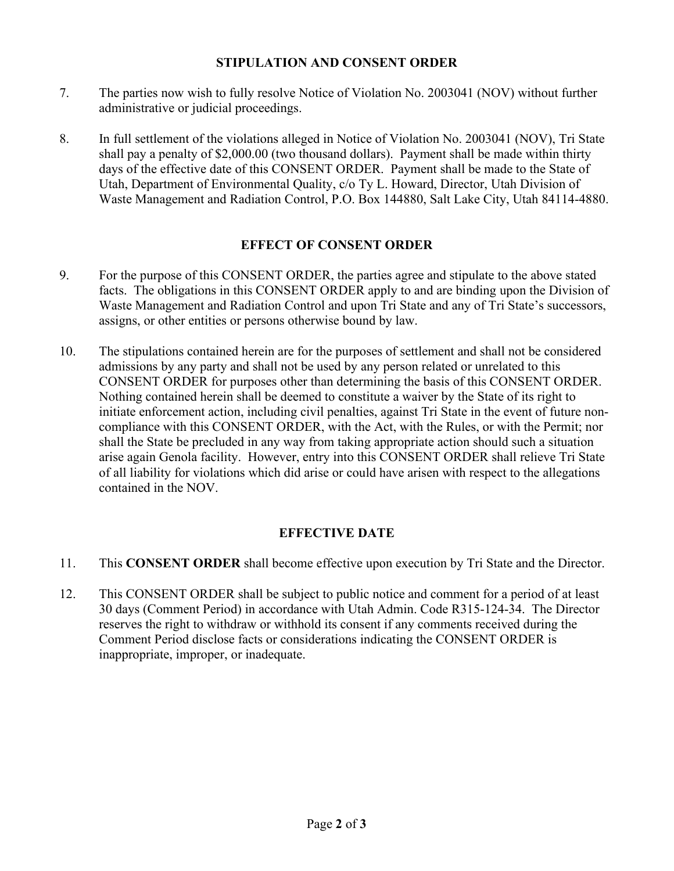### **STIPULATION AND CONSENT ORDER**

- 7. The parties now wish to fully resolve Notice of Violation No. 2003041 (NOV) without further administrative or judicial proceedings.
- 8. In full settlement of the violations alleged in Notice of Violation No. 2003041 (NOV), Tri State shall pay a penalty of \$2,000.00 (two thousand dollars). Payment shall be made within thirty days of the effective date of this CONSENT ORDER. Payment shall be made to the State of Utah, Department of Environmental Quality, c/o Ty L. Howard, Director, Utah Division of Waste Management and Radiation Control, P.O. Box 144880, Salt Lake City, Utah 84114-4880.

### **EFFECT OF CONSENT ORDER**

- 9. For the purpose of this CONSENT ORDER, the parties agree and stipulate to the above stated facts. The obligations in this CONSENT ORDER apply to and are binding upon the Division of Waste Management and Radiation Control and upon Tri State and any of Tri State's successors, assigns, or other entities or persons otherwise bound by law.
- 10. The stipulations contained herein are for the purposes of settlement and shall not be considered admissions by any party and shall not be used by any person related or unrelated to this CONSENT ORDER for purposes other than determining the basis of this CONSENT ORDER. Nothing contained herein shall be deemed to constitute a waiver by the State of its right to initiate enforcement action, including civil penalties, against Tri State in the event of future noncompliance with this CONSENT ORDER, with the Act, with the Rules, or with the Permit; nor shall the State be precluded in any way from taking appropriate action should such a situation arise again Genola facility. However, entry into this CONSENT ORDER shall relieve Tri State of all liability for violations which did arise or could have arisen with respect to the allegations contained in the NOV.

## **EFFECTIVE DATE**

- 11. This **CONSENT ORDER** shall become effective upon execution by Tri State and the Director.
- 12. This CONSENT ORDER shall be subject to public notice and comment for a period of at least 30 days (Comment Period) in accordance with Utah Admin. Code R315-124-34. The Director reserves the right to withdraw or withhold its consent if any comments received during the Comment Period disclose facts or considerations indicating the CONSENT ORDER is inappropriate, improper, or inadequate.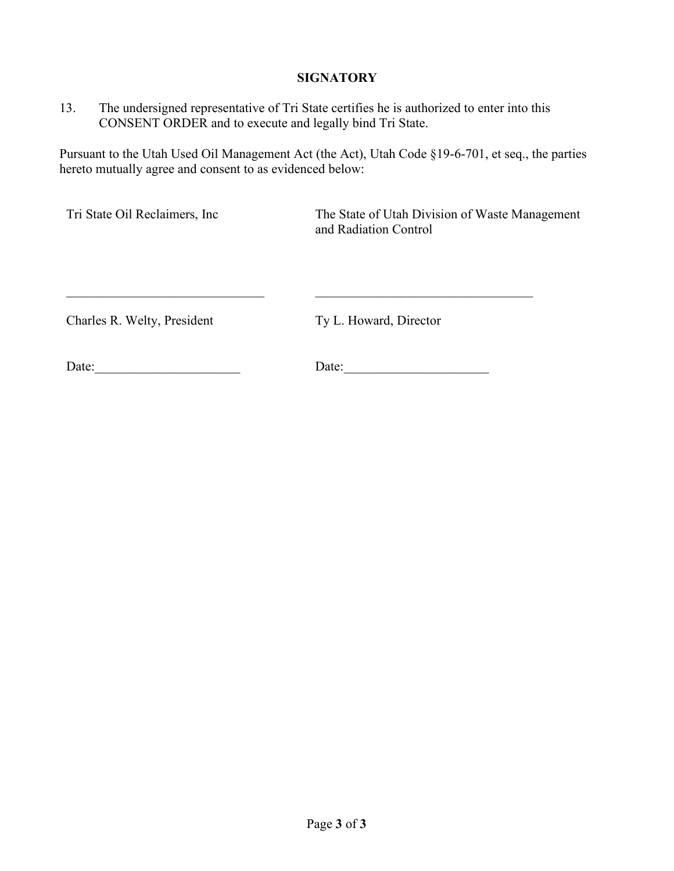### **SIGNATORY**

13. The undersigned representative of Tri State certifies he is authorized to enter into this CONSENT ORDER and to execute and legally bind Tri State.

 $\_$  , and the set of the set of the set of the set of the set of the set of the set of the set of the set of the set of the set of the set of the set of the set of the set of the set of the set of the set of the set of th

Pursuant to the Utah Used Oil Management Act (the Act), Utah Code §19-6-701, et seq., the parties hereto mutually agree and consent to as evidenced below:

Tri State Oil Reclaimers, Inc The State of Utah Division of Waste Management and Radiation Control

Charles R. Welty, President

Ty L. Howard, Director

Date:

Date: